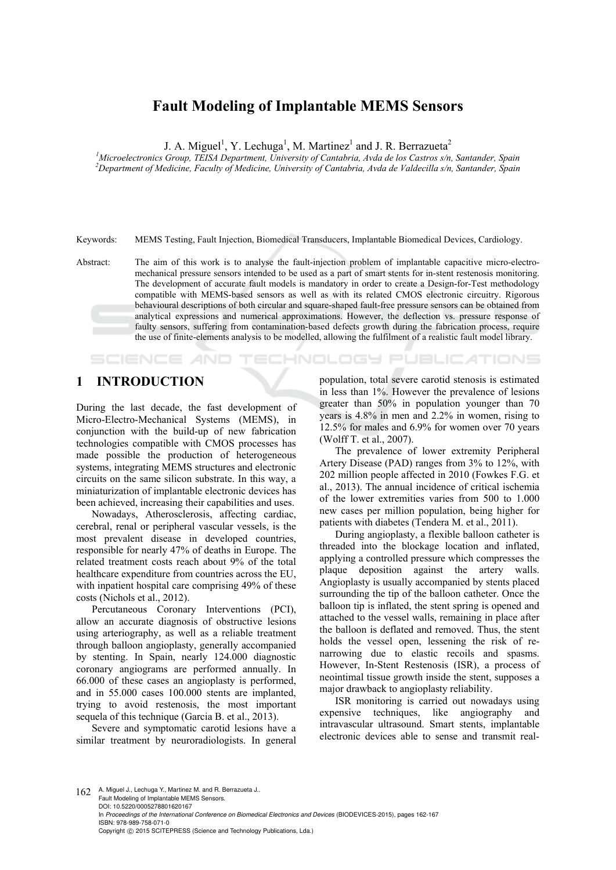# **Fault Modeling of Implantable MEMS Sensors**

J. A. Miguel<sup>1</sup>, Y. Lechuga<sup>1</sup>, M. Martinez<sup>1</sup> and J. R. Berrazueta<sup>2</sup>

<sup>1</sup>Microelectronics Group, TEISA Department, University of Cantabria, Avda de los Castros s/n, Santander, Spain<br><sup>2</sup>Department of Medicine, Eggulty of Medicine, University of Cantabria, Ayda de Valdecilla s/n, Santander, Sp *Department of Medicine, Faculty of Medicine, University of Cantabria, Avda de Valdecilla s/n, Santander, Spain* 

Keywords: MEMS Testing, Fault Injection, Biomedical Transducers, Implantable Biomedical Devices, Cardiology.

Abstract: The aim of this work is to analyse the fault-injection problem of implantable capacitive micro-electromechanical pressure sensors intended to be used as a part of smart stents for in-stent restenosis monitoring. The development of accurate fault models is mandatory in order to create a Design-for-Test methodology compatible with MEMS-based sensors as well as with its related CMOS electronic circuitry. Rigorous behavioural descriptions of both circular and square-shaped fault-free pressure sensors can be obtained from analytical expressions and numerical approximations. However, the deflection vs. pressure response of faulty sensors, suffering from contamination-based defects growth during the fabrication process, require the use of finite-elements analysis to be modelled, allowing the fulfilment of a realistic fault model library.

## **1 INTRODUCTION**

SCIENCE *AND* 

During the last decade, the fast development of Micro-Electro-Mechanical Systems (MEMS), in conjunction with the build-up of new fabrication technologies compatible with CMOS processes has made possible the production of heterogeneous systems, integrating MEMS structures and electronic circuits on the same silicon substrate. In this way, a miniaturization of implantable electronic devices has been achieved, increasing their capabilities and uses.

Nowadays, Atherosclerosis, affecting cardiac, cerebral, renal or peripheral vascular vessels, is the most prevalent disease in developed countries, responsible for nearly 47% of deaths in Europe. The related treatment costs reach about 9% of the total healthcare expenditure from countries across the EU, with inpatient hospital care comprising 49% of these costs (Nichols et al., 2012).

Percutaneous Coronary Interventions (PCI), allow an accurate diagnosis of obstructive lesions using arteriography, as well as a reliable treatment through balloon angioplasty, generally accompanied by stenting. In Spain, nearly 124.000 diagnostic coronary angiograms are performed annually. In 66.000 of these cases an angioplasty is performed, and in 55.000 cases 100.000 stents are implanted, trying to avoid restenosis, the most important sequela of this technique (Garcia B. et al., 2013).

Severe and symptomatic carotid lesions have a similar treatment by neuroradiologists. In general

population, total severe carotid stenosis is estimated in less than 1%. However the prevalence of lesions greater than 50% in population younger than 70 years is 4.8% in men and 2.2% in women, rising to 12.5% for males and 6.9% for women over 70 years (Wolff T. et al., 2007).

TECHNOLOGY PUBLICATIONS

The prevalence of lower extremity Peripheral Artery Disease (PAD) ranges from 3% to 12%, with 202 million people affected in 2010 (Fowkes F.G. et al., 2013). The annual incidence of critical ischemia of the lower extremities varies from 500 to 1.000 new cases per million population, being higher for patients with diabetes (Tendera M. et al., 2011).

During angioplasty, a flexible balloon catheter is threaded into the blockage location and inflated, applying a controlled pressure which compresses the plaque deposition against the artery walls. Angioplasty is usually accompanied by stents placed surrounding the tip of the balloon catheter. Once the balloon tip is inflated, the stent spring is opened and attached to the vessel walls, remaining in place after the balloon is deflated and removed. Thus, the stent holds the vessel open, lessening the risk of renarrowing due to elastic recoils and spasms. However, In-Stent Restenosis (ISR), a process of neointimal tissue growth inside the stent, supposes a major drawback to angioplasty reliability.

ISR monitoring is carried out nowadays using expensive techniques, like angiography and intravascular ultrasound. Smart stents, implantable electronic devices able to sense and transmit real-

162 A. Miguel J., Lechuga Y., Martinez M. and R. Berrazueta J.. Fault Modeling of Implantable MEMS Sensors. DOI: 10.5220/0005278801620167 In *Proceedings of the International Conference on Biomedical Electronics and Devices* (BIODEVICES-2015), pages 162-167 ISBN: 978-989-758-071-0 Copyright © 2015 SCITEPRESS (Science and Technology Publications, Lda.)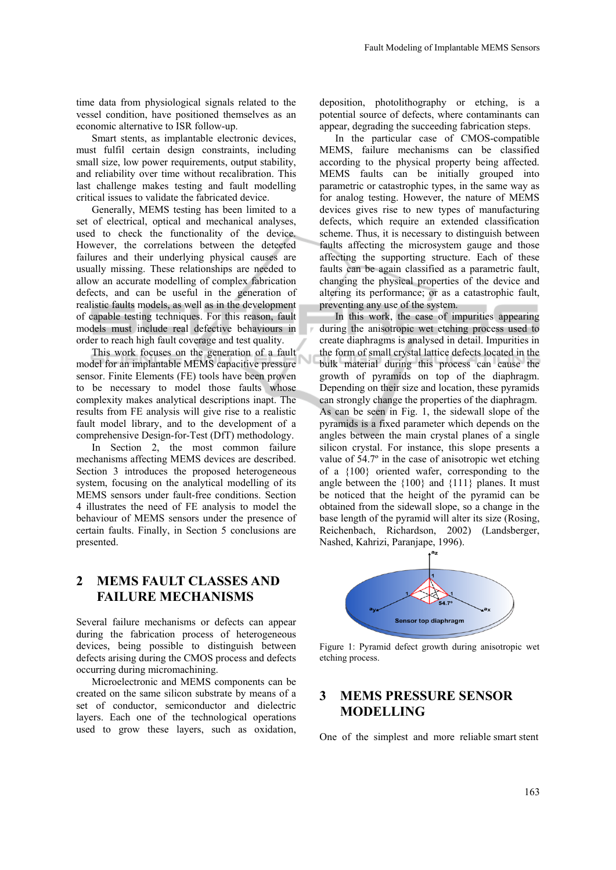time data from physiological signals related to the vessel condition, have positioned themselves as an economic alternative to ISR follow-up.

Smart stents, as implantable electronic devices, must fulfil certain design constraints, including small size, low power requirements, output stability, and reliability over time without recalibration. This last challenge makes testing and fault modelling critical issues to validate the fabricated device.

Generally, MEMS testing has been limited to a set of electrical, optical and mechanical analyses, used to check the functionality of the device. However, the correlations between the detected failures and their underlying physical causes are usually missing. These relationships are needed to allow an accurate modelling of complex fabrication defects, and can be useful in the generation of realistic faults models, as well as in the development of capable testing techniques. For this reason, fault models must include real defective behaviours in order to reach high fault coverage and test quality.

This work focuses on the generation of a fault model for an implantable MEMS capacitive pressure sensor. Finite Elements (FE) tools have been proven to be necessary to model those faults whose complexity makes analytical descriptions inapt. The results from FE analysis will give rise to a realistic fault model library, and to the development of a comprehensive Design-for-Test (DfT) methodology.

Ū

In Section 2, the most common failure mechanisms affecting MEMS devices are described. Section 3 introduces the proposed heterogeneous system, focusing on the analytical modelling of its MEMS sensors under fault-free conditions. Section 4 illustrates the need of FE analysis to model the behaviour of MEMS sensors under the presence of certain faults. Finally, in Section 5 conclusions are presented.

## **2 MEMS FAULT CLASSES AND FAILURE MECHANISMS**

Several failure mechanisms or defects can appear during the fabrication process of heterogeneous devices, being possible to distinguish between defects arising during the CMOS process and defects occurring during micromachining.

Microelectronic and MEMS components can be created on the same silicon substrate by means of a set of conductor, semiconductor and dielectric layers. Each one of the technological operations used to grow these layers, such as oxidation,

deposition, photolithography or etching, is a potential source of defects, where contaminants can appear, degrading the succeeding fabrication steps.

In the particular case of CMOS-compatible MEMS, failure mechanisms can be classified according to the physical property being affected. MEMS faults can be initially grouped into parametric or catastrophic types, in the same way as for analog testing. However, the nature of MEMS devices gives rise to new types of manufacturing defects, which require an extended classification scheme. Thus, it is necessary to distinguish between faults affecting the microsystem gauge and those affecting the supporting structure. Each of these faults can be again classified as a parametric fault, changing the physical properties of the device and altering its performance; or as a catastrophic fault, preventing any use of the system.

In this work, the case of impurities appearing during the anisotropic wet etching process used to create diaphragms is analysed in detail. Impurities in the form of small crystal lattice defects located in the bulk material during this process can cause the growth of pyramids on top of the diaphragm. Depending on their size and location, these pyramids can strongly change the properties of the diaphragm. As can be seen in Fig. 1, the sidewall slope of the pyramids is a fixed parameter which depends on the angles between the main crystal planes of a single silicon crystal. For instance, this slope presents a value of 54.7º in the case of anisotropic wet etching of a {100} oriented wafer, corresponding to the angle between the {100} and {111} planes. It must be noticed that the height of the pyramid can be obtained from the sidewall slope, so a change in the base length of the pyramid will alter its size (Rosing, Reichenbach, Richardson, 2002) (Landsberger, Nashed, Kahrizi, Paranjape, 1996).



Figure 1: Pyramid defect growth during anisotropic wet etching process.

## **3 MEMS PRESSURE SENSOR MODELLING**

One of the simplest and more reliable smart stent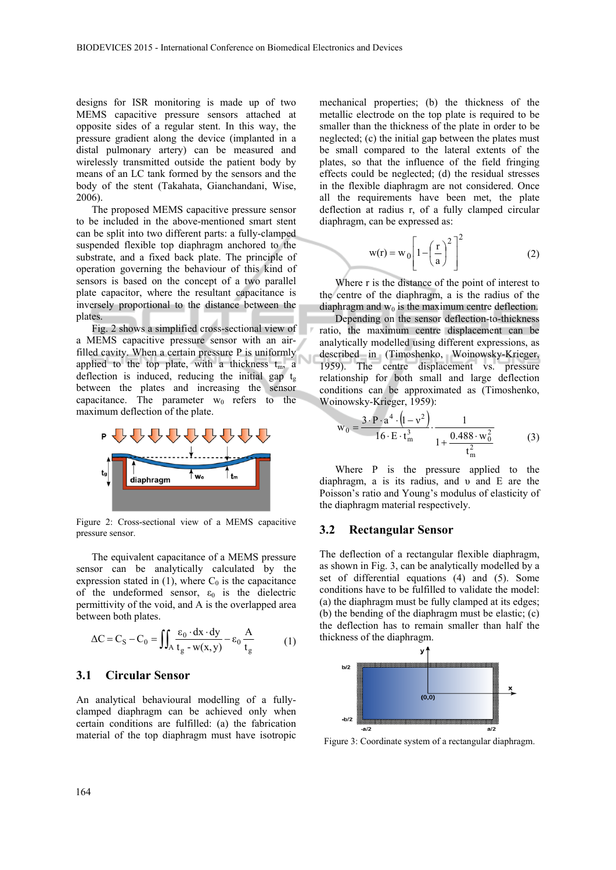designs for ISR monitoring is made up of two MEMS capacitive pressure sensors attached at opposite sides of a regular stent. In this way, the pressure gradient along the device (implanted in a distal pulmonary artery) can be measured and wirelessly transmitted outside the patient body by means of an LC tank formed by the sensors and the body of the stent (Takahata, Gianchandani, Wise, 2006).

The proposed MEMS capacitive pressure sensor to be included in the above-mentioned smart stent can be split into two different parts: a fully-clamped suspended flexible top diaphragm anchored to the substrate, and a fixed back plate. The principle of operation governing the behaviour of this kind of sensors is based on the concept of a two parallel plate capacitor, where the resultant capacitance is inversely proportional to the distance between the plates.

Fig. 2 shows a simplified cross-sectional view of a MEMS capacitive pressure sensor with an airfilled cavity. When a certain pressure P is uniformly applied to the top plate, with a thickness  $t_m$ , a deflection is induced, reducing the initial gap  $t_g$ between the plates and increasing the sensor capacitance. The parameter  $w_0$  refers to the maximum deflection of the plate.



Figure 2: Cross-sectional view of a MEMS capacitive pressure sensor.

The equivalent capacitance of a MEMS pressure sensor can be analytically calculated by the expression stated in  $(1)$ , where  $C_0$  is the capacitance of the undeformed sensor,  $\varepsilon_0$  is the dielectric permittivity of the void, and A is the overlapped area between both plates.

$$
\Delta C = C_S - C_0 = \iint_A \frac{\varepsilon_0 \cdot dx \cdot dy}{t_g - w(x, y)} - \varepsilon_0 \frac{A}{t_g}
$$
 (1)

#### **3.1 Circular Sensor**

An analytical behavioural modelling of a fullyclamped diaphragm can be achieved only when certain conditions are fulfilled: (a) the fabrication material of the top diaphragm must have isotropic

mechanical properties; (b) the thickness of the metallic electrode on the top plate is required to be smaller than the thickness of the plate in order to be neglected; (c) the initial gap between the plates must be small compared to the lateral extents of the plates, so that the influence of the field fringing effects could be neglected; (d) the residual stresses in the flexible diaphragm are not considered. Once all the requirements have been met, the plate deflection at radius r, of a fully clamped circular diaphragm, can be expressed as:

$$
w(r) = w_0 \left[ 1 - \left(\frac{r}{a}\right)^2 \right]^2 \tag{2}
$$

Where r is the distance of the point of interest to the centre of the diaphragm, a is the radius of the diaphragm and  $w_0$  is the maximum centre deflection.

Depending on the sensor deflection-to-thickness ratio, the maximum centre displacement can be analytically modelled using different expressions, as described in (Timoshenko, Woinowsky-Krieger, 1959). The centre displacement vs. pressure relationship for both small and large deflection conditions can be approximated as (Timoshenko, Woinowsky-Krieger, 1959):

$$
w_0 = \frac{3 \cdot P \cdot a^4 \cdot (1 - v^2)}{16 \cdot E \cdot t_m^3} \cdot \frac{1}{1 + \frac{0.488 \cdot w_0^2}{t_m^2}}
$$
(3)

Where P is the pressure applied to the diaphragm, a is its radius, and υ and E are the Poisson's ratio and Young's modulus of elasticity of the diaphragm material respectively.

#### **3.2 Rectangular Sensor**

The deflection of a rectangular flexible diaphragm, as shown in Fig. 3, can be analytically modelled by a set of differential equations (4) and (5). Some conditions have to be fulfilled to validate the model: (a) the diaphragm must be fully clamped at its edges; (b) the bending of the diaphragm must be elastic; (c) the deflection has to remain smaller than half the thickness of the diaphragm.



Figure 3: Coordinate system of a rectangular diaphragm.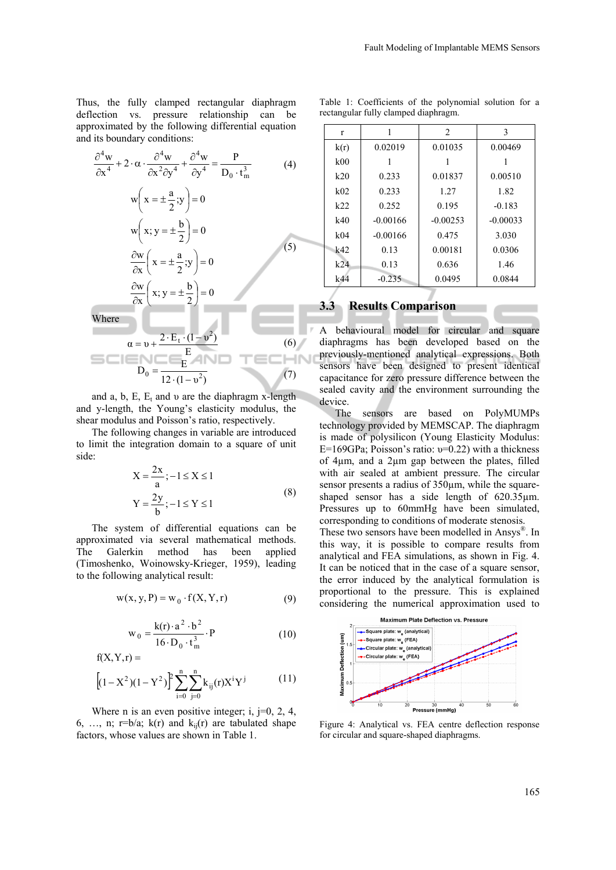Thus, the fully clamped rectangular diaphragm deflection vs. pressure relationship can be approximated by the following differential equation and its boundary conditions:

$$
\frac{\partial^4 w}{\partial x^4} + 2 \cdot \alpha \cdot \frac{\partial^4 w}{\partial x^2 \partial y^4} + \frac{\partial^4 w}{\partial y^4} = \frac{P}{D_0 \cdot t_m^3}
$$
(4)  

$$
w \left( x = \pm \frac{a}{2}; y \right) = 0
$$
  

$$
w \left( x; y = \pm \frac{b}{2} \right) = 0
$$
  

$$
\frac{\partial w}{\partial x} \left( x = \pm \frac{a}{2}; y \right) = 0
$$
(5)

$$
\frac{\partial w}{\partial x} \left( x; y = \pm \frac{b}{2} \right) = 0
$$
  
Where  

$$
\alpha = v + \frac{2 \cdot E_t \cdot (1 - v^2)}{E}
$$

$$
D_0 = \frac{E}{12 \cdot (1 - v^2)}
$$
(7)

and a, b, E,  $E_t$  and v are the diaphragm x-length and y-length, the Young's elasticity modulus, the shear modulus and Poisson's ratio, respectively.

The following changes in variable are introduced to limit the integration domain to a square of unit side:

$$
X = \frac{2x}{a}; -1 \le X \le 1
$$
  
\n
$$
Y = \frac{2y}{b}; -1 \le Y \le 1
$$
 (8)

The system of differential equations can be approximated via several mathematical methods. The Galerkin method has been applied (Timoshenko, Woinowsky-Krieger, 1959), leading to the following analytical result:

$$
w(x, y, P) = w_0 \cdot f(X, Y, r) \tag{9}
$$

$$
w_0 = \frac{k(r) \cdot a^2 \cdot b^2}{16 \cdot D_0 \cdot t_m^3} \cdot P
$$
 (10)

$$
f(X, Y, r) =
$$

$$
\left[ (1-X^2)(1-Y^2) \right]^{\hspace{-0.15cm}p} \sum_{i=0}^n \sum_{j=0}^n k_{ij}(r) X^i Y^j \hspace{2cm} (11)
$$

Where n is an even positive integer; i,  $j=0, 2, 4$ , 6, ..., n;  $r=b/a$ ;  $k(r)$  and  $k_{ii}(r)$  are tabulated shape factors, whose values are shown in Table 1.

Table 1: Coefficients of the polynomial solution for a rectangular fully clamped diaphragm.

| r               |            | 2          | 3          |
|-----------------|------------|------------|------------|
| k(r)            | 0.02019    | 0.01035    | 0.00469    |
| k <sub>00</sub> |            |            |            |
| k20             | 0.233      | 0.01837    | 0.00510    |
| k02             | 0.233      | 1.27       | 1.82       |
| k22             | 0.252      | 0.195      | $-0.183$   |
| k40             | $-0.00166$ | $-0.00253$ | $-0.00033$ |
| k04             | $-0.00166$ | 0.475      | 3.030      |
| k42             | 0.13       | 0.00181    | 0.0306     |
| $k$ 24          | 0.13       | 0.636      | 1.46       |
| k44             | $-0.235$   | 0.0495     | 0.0844     |

### **3.3 Results Comparison**

A behavioural model for circular and square diaphragms has been developed based on the previously-mentioned analytical expressions. Both sensors have been designed to present identical capacitance for zero pressure difference between the sealed cavity and the environment surrounding the device.

The sensors are based on PolyMUMPs technology provided by MEMSCAP. The diaphragm is made of polysilicon (Young Elasticity Modulus: E=169GPa; Poisson's ratio:  $v=0.22$ ) with a thickness of 4µm, and a 2µm gap between the plates, filled with air sealed at ambient pressure. The circular sensor presents a radius of  $350 \mu m$ , while the squareshaped sensor has a side length of  $620.35 \mu m$ . Pressures up to 60mmHg have been simulated, corresponding to conditions of moderate stenosis.

These two sensors have been modelled in Ansys®. In this way, it is possible to compare results from analytical and FEA simulations, as shown in Fig. 4. It can be noticed that in the case of a square sensor, the error induced by the analytical formulation is proportional to the pressure. This is explained considering the numerical approximation used to



Figure 4: Analytical vs. FEA centre deflection response for circular and square-shaped diaphragms.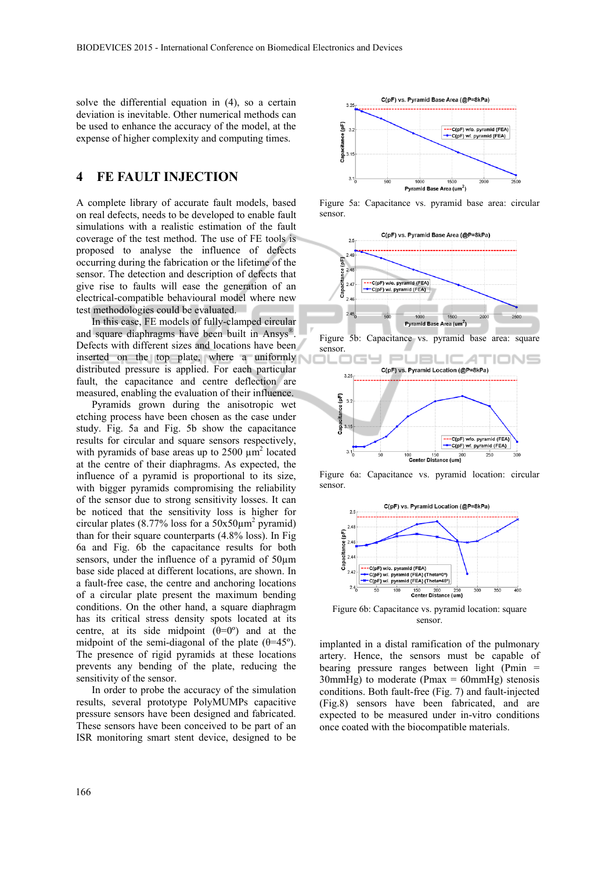solve the differential equation in (4), so a certain deviation is inevitable. Other numerical methods can be used to enhance the accuracy of the model, at the expense of higher complexity and computing times.

### **4 FE FAULT INJECTION**

A complete library of accurate fault models, based on real defects, needs to be developed to enable fault simulations with a realistic estimation of the fault coverage of the test method. The use of FE tools is proposed to analyse the influence of defects occurring during the fabrication or the lifetime of the sensor. The detection and description of defects that give rise to faults will ease the generation of an electrical-compatible behavioural model where new test methodologies could be evaluated.

In this case, FE models of fully-clamped circular and square diaphragms have been built in Ansys®. Defects with different sizes and locations have been inserted on the top plate, where a uniformly distributed pressure is applied. For each particular fault, the capacitance and centre deflection are measured, enabling the evaluation of their influence.

Pyramids grown during the anisotropic wet etching process have been chosen as the case under study. Fig. 5a and Fig. 5b show the capacitance results for circular and square sensors respectively, with pyramids of base areas up to  $2500 \mu m^2$  located at the centre of their diaphragms. As expected, the influence of a pyramid is proportional to its size, with bigger pyramids compromising the reliability of the sensor due to strong sensitivity losses. It can be noticed that the sensitivity loss is higher for circular plates (8.77% loss for a  $50x50\mu m^2$  pyramid) than for their square counterparts (4.8% loss). In Fig 6a and Fig. 6b the capacitance results for both sensors, under the influence of a pyramid of 50µm base side placed at different locations, are shown. In a fault-free case, the centre and anchoring locations of a circular plate present the maximum bending conditions. On the other hand, a square diaphragm has its critical stress density spots located at its centre, at its side midpoint  $(\theta=0)$  and at the midpoint of the semi-diagonal of the plate  $(\theta=45^{\circ})$ . The presence of rigid pyramids at these locations prevents any bending of the plate, reducing the sensitivity of the sensor.

In order to probe the accuracy of the simulation results, several prototype PolyMUMPs capacitive pressure sensors have been designed and fabricated. These sensors have been conceived to be part of an ISR monitoring smart stent device, designed to be



Figure 5a: Capacitance vs. pyramid base area: circular sensor.



Figure 6a: Capacitance vs. pyramid location: circular sensor.



Figure 6b: Capacitance vs. pyramid location: square sensor.

implanted in a distal ramification of the pulmonary artery. Hence, the sensors must be capable of bearing pressure ranges between light (Pmin = 30mmHg) to moderate (Pmax =  $60$ mmHg) stenosis conditions. Both fault-free (Fig. 7) and fault-injected (Fig.8) sensors have been fabricated, and are expected to be measured under in-vitro conditions once coated with the biocompatible materials.